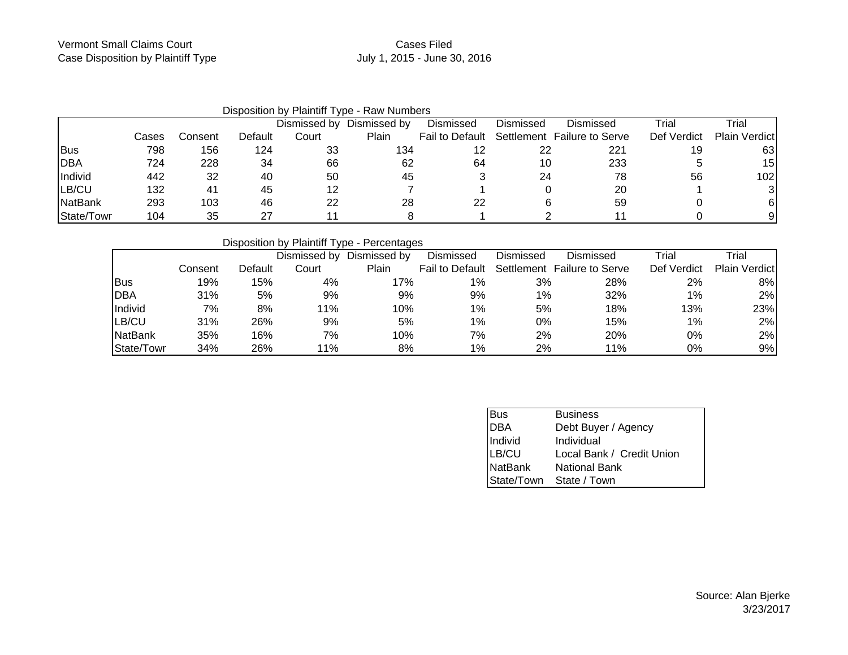## Cases FiledJuly 1, 2015 - June 30, 2016

|                |       |         |         |              | Disposition by Plaintiff Type - Raw Numbers |           |           |                                             |             |                      |
|----------------|-------|---------|---------|--------------|---------------------------------------------|-----------|-----------|---------------------------------------------|-------------|----------------------|
|                |       |         |         | Dismissed by | Dismissed by                                | Dismissed | Dismissed | Dismissed                                   | Trial       | Trial                |
|                | Cases | Consent | Default | Court        | Plain                                       |           |           | Fail to Default Settlement Failure to Serve | Def Verdict | <b>Plain Verdict</b> |
| <b>Bus</b>     | 798   | 156     | 124     | 33           | 134                                         |           | 22        | 221                                         | 19          | 63                   |
| <b>DBA</b>     | 724   | 228     | 34      | 66           | 62                                          | 64        | 10        | 233                                         |             | 15                   |
| Individ        | 442   | 32      | 40      | 50           | 45                                          |           | 24        | 78                                          | 56          | 102                  |
| LB/CU          | 132   | -41     | 45      | 12           |                                             |           |           | 20                                          |             |                      |
| <b>NatBank</b> | 293   | 103     | 46      | 22           | 28                                          | 22        |           | 59                                          |             |                      |
| State/Towr     | 104   | 35      | 27      |              |                                             |           |           |                                             |             |                      |

## Disposition by Plaintiff Type - Percentages

|                |         |         | Dismissed by | Dismissed by | Dismissed              | Dismissed | Dismissed                   | Trial       | Trial                |
|----------------|---------|---------|--------------|--------------|------------------------|-----------|-----------------------------|-------------|----------------------|
|                | Consent | Default | Court        | Plain        | <b>Fail to Default</b> |           | Settlement Failure to Serve | Def Verdict | <b>Plain Verdict</b> |
| <b>Bus</b>     | 19%     | 15%     | 4%           | 17%          | 1%                     | 3%        | 28%                         | 2%          | 8%                   |
| <b>DBA</b>     | 31%     | 5%      | 9%           | 9%           | 9%                     | 1%        | 32%                         | 1%          | 2%                   |
| Individ        | 7%      | 8%      | 11%          | 10%          | 1%                     | 5%        | 18%                         | 13%         | 23%                  |
| LB/CU          | 31%     | 26%     | 9%           | 5%           | $1\%$                  | 0%        | 15%                         | $1\%$       | 2%                   |
| <b>NatBank</b> | 35%     | 16%     | 7%           | 10%          | 7%                     | 2%        | 20%                         | 0%          | 2%                   |
| State/Towr     | 34%     | 26%     | 11%          | 8%           | 1%                     | 2%        | 11%                         | 0%          | 9%                   |

| <b>Bus</b>     | <b>Business</b>           |
|----------------|---------------------------|
|                | Debt Buyer / Agency       |
| DBA<br>Individ | Individual                |
| LB/CU          | Local Bank / Credit Union |
| NatBank        | <b>National Bank</b>      |
|                | State/Town State / Town   |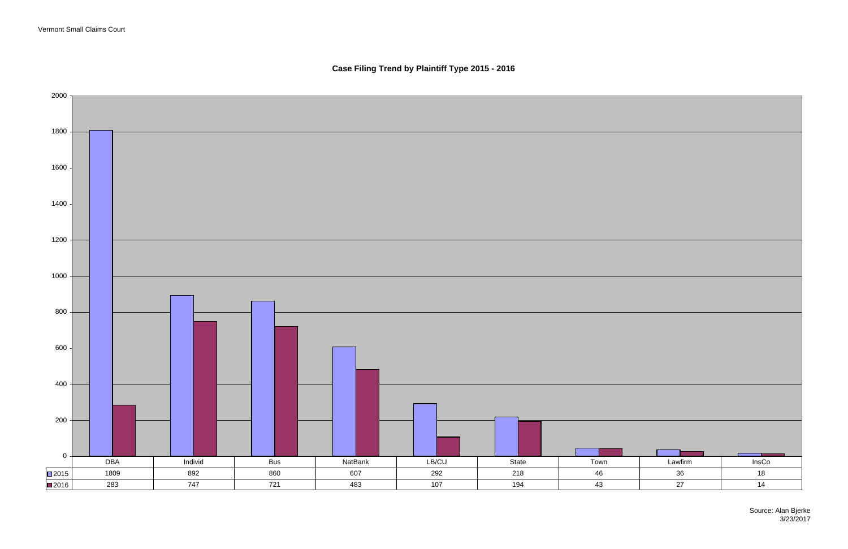**Case Filing Trend by Plaintiff Type 2015 - 2016**

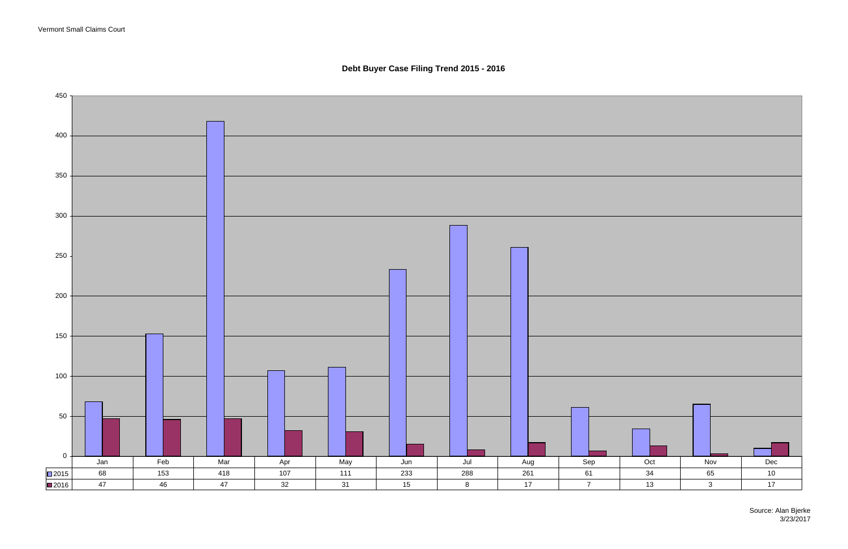Vermont Small Claims Court

Source: Alan Bjerke 3/23/2017

**Debt Buyer Case Filing Trend 2015 - 2016**

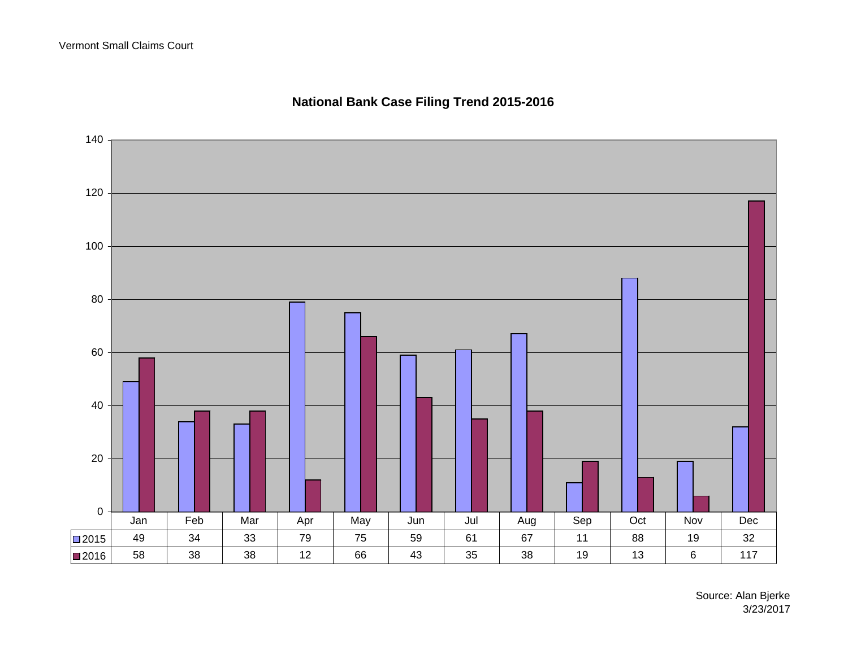

# **National Bank Case Filing Trend 2015-2016**

Source: Alan Bjerke 3/23/2017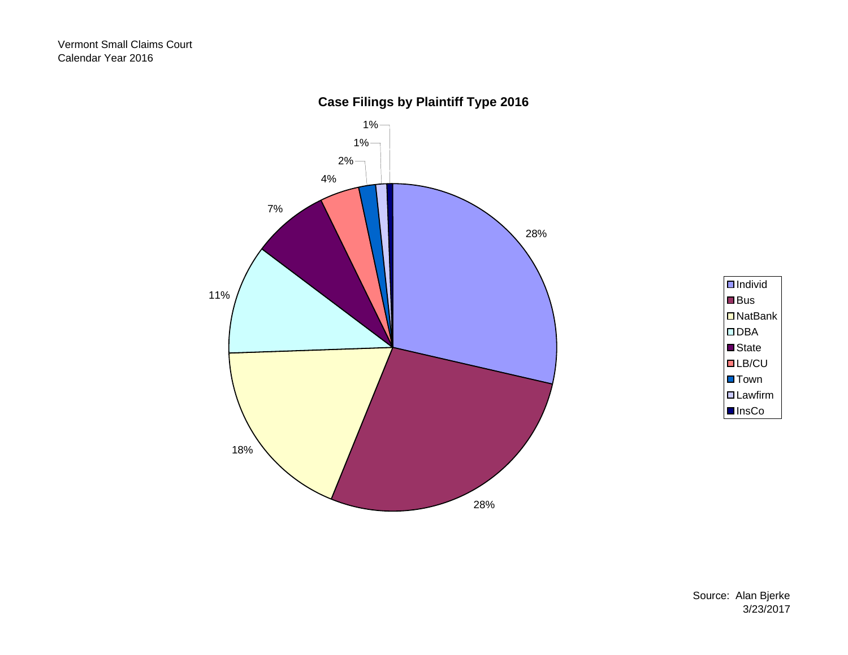



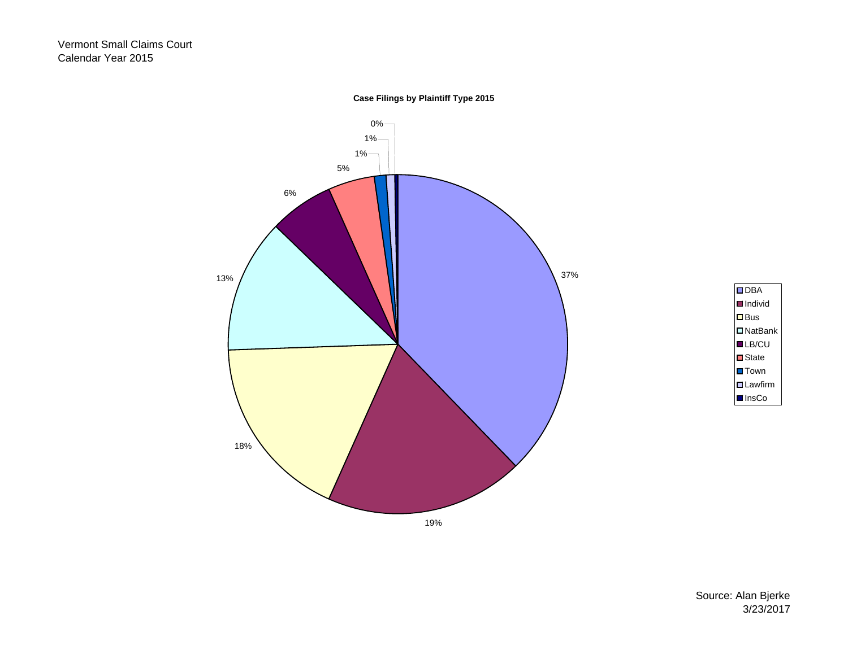